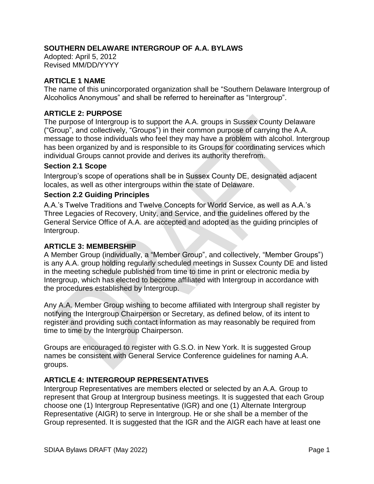### **SOUTHERN DELAWARE INTERGROUP OF A.A. BYLAWS**

Adopted: April 5, 2012 Revised MM/DD/YYYY

### **ARTICLE 1 NAME**

The name of this unincorporated organization shall be "Southern Delaware Intergroup of Alcoholics Anonymous" and shall be referred to hereinafter as "Intergroup".

### **ARTICLE 2: PURPOSE**

The purpose of Intergroup is to support the A.A. groups in Sussex County Delaware ("Group", and collectively, "Groups") in their common purpose of carrying the A.A. message to those individuals who feel they may have a problem with alcohol. Intergroup has been organized by and is responsible to its Groups for coordinating services which individual Groups cannot provide and derives its authority therefrom.

#### **Section 2.1 Scope**

Intergroup's scope of operations shall be in Sussex County DE, designated adjacent locales, as well as other intergroups within the state of Delaware.

### **Section 2.2 Guiding Principles**

A.A.'s Twelve Traditions and Twelve Concepts for World Service, as well as A.A.'s Three Legacies of Recovery, Unity, and Service, and the guidelines offered by the General Service Office of A.A. are accepted and adopted as the guiding principles of Intergroup.

### **ARTICLE 3: MEMBERSHIP**

A Member Group (individually, a "Member Group", and collectively, "Member Groups") is any A.A. group holding regularly scheduled meetings in Sussex County DE and listed in the meeting schedule published from time to time in print or electronic media by Intergroup, which has elected to become affiliated with Intergroup in accordance with the procedures established by Intergroup.

Any A.A. Member Group wishing to become affiliated with Intergroup shall register by notifying the Intergroup Chairperson or Secretary, as defined below, of its intent to register and providing such contact information as may reasonably be required from time to time by the Intergroup Chairperson.

Groups are encouraged to register with G.S.O. in New York. It is suggested Group names be consistent with General Service Conference guidelines for naming A.A. groups.

## **ARTICLE 4: INTERGROUP REPRESENTATIVES**

Intergroup Representatives are members elected or selected by an A.A. Group to represent that Group at Intergroup business meetings. It is suggested that each Group choose one (1) Intergroup Representative (IGR) and one (1) Alternate Intergroup Representative (AIGR) to serve in Intergroup. He or she shall be a member of the Group represented. It is suggested that the IGR and the AIGR each have at least one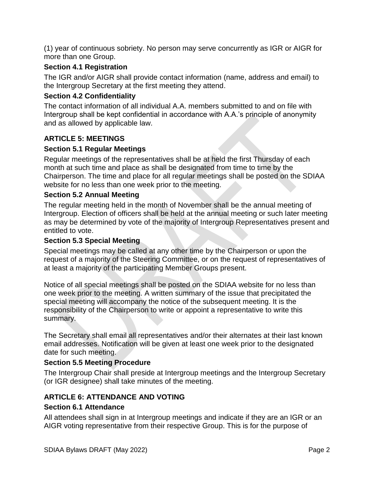(1) year of continuous sobriety. No person may serve concurrently as IGR or AIGR for more than one Group.

### **Section 4.1 Registration**

The IGR and/or AIGR shall provide contact information (name, address and email) to the Intergroup Secretary at the first meeting they attend.

### **Section 4.2 Confidentiality**

The contact information of all individual A.A. members submitted to and on file with Intergroup shall be kept confidential in accordance with A.A.'s principle of anonymity and as allowed by applicable law.

## **ARTICLE 5: MEETINGS**

### **Section 5.1 Regular Meetings**

Regular meetings of the representatives shall be at held the first Thursday of each month at such time and place as shall be designated from time to time by the Chairperson. The time and place for all regular meetings shall be posted on the SDIAA website for no less than one week prior to the meeting.

### **Section 5.2 Annual Meeting**

The regular meeting held in the month of November shall be the annual meeting of Intergroup. Election of officers shall be held at the annual meeting or such later meeting as may be determined by vote of the majority of Intergroup Representatives present and entitled to vote.

### **Section 5.3 Special Meeting**

Special meetings may be called at any other time by the Chairperson or upon the request of a majority of the Steering Committee, or on the request of representatives of at least a majority of the participating Member Groups present.

Notice of all special meetings shall be posted on the SDIAA website for no less than one week prior to the meeting. A written summary of the issue that precipitated the special meeting will accompany the notice of the subsequent meeting. It is the responsibility of the Chairperson to write or appoint a representative to write this summary.

The Secretary shall email all representatives and/or their alternates at their last known email addresses. Notification will be given at least one week prior to the designated date for such meeting.

## **Section 5.5 Meeting Procedure**

The Intergroup Chair shall preside at Intergroup meetings and the Intergroup Secretary (or IGR designee) shall take minutes of the meeting.

## **ARTICLE 6: ATTENDANCE AND VOTING**

### **Section 6.1 Attendance**

All attendees shall sign in at Intergroup meetings and indicate if they are an IGR or an AIGR voting representative from their respective Group. This is for the purpose of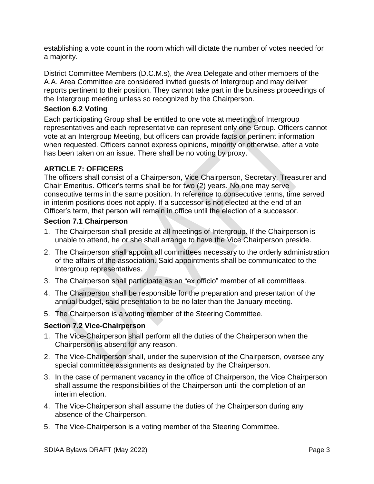establishing a vote count in the room which will dictate the number of votes needed for a majority.

District Committee Members (D.C.M.s), the Area Delegate and other members of the A.A. Area Committee are considered invited guests of Intergroup and may deliver reports pertinent to their position. They cannot take part in the business proceedings of the Intergroup meeting unless so recognized by the Chairperson.

### **Section 6.2 Voting**

Each participating Group shall be entitled to one vote at meetings of Intergroup representatives and each representative can represent only one Group. Officers cannot vote at an Intergroup Meeting, but officers can provide facts or pertinent information when requested. Officers cannot express opinions, minority or otherwise, after a vote has been taken on an issue. There shall be no voting by proxy.

## **ARTICLE 7: OFFICERS**

The officers shall consist of a Chairperson, Vice Chairperson, Secretary, Treasurer and Chair Emeritus. Officer's terms shall be for two (2) years. No one may serve consecutive terms in the same position. In reference to consecutive terms, time served in interim positions does not apply. If a successor is not elected at the end of an Officer's term, that person will remain in office until the election of a successor.

### **Section 7.1 Chairperson**

- 1. The Chairperson shall preside at all meetings of Intergroup. If the Chairperson is unable to attend, he or she shall arrange to have the Vice Chairperson preside.
- 2. The Chairperson shall appoint all committees necessary to the orderly administration of the affairs of the association. Said appointments shall be communicated to the Intergroup representatives.
- 3. The Chairperson shall participate as an "ex officio" member of all committees.
- 4. The Chairperson shall be responsible for the preparation and presentation of the annual budget, said presentation to be no later than the January meeting.
- 5. The Chairperson is a voting member of the Steering Committee.

## **Section 7.2 Vice-Chairperson**

- 1. The Vice-Chairperson shall perform all the duties of the Chairperson when the Chairperson is absent for any reason.
- 2. The Vice-Chairperson shall, under the supervision of the Chairperson, oversee any special committee assignments as designated by the Chairperson.
- 3. In the case of permanent vacancy in the office of Chairperson, the Vice Chairperson shall assume the responsibilities of the Chairperson until the completion of an interim election.
- 4. The Vice-Chairperson shall assume the duties of the Chairperson during any absence of the Chairperson.
- 5. The Vice-Chairperson is a voting member of the Steering Committee.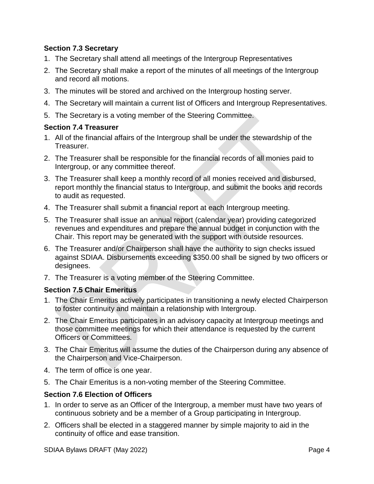## **Section 7.3 Secretary**

- 1. The Secretary shall attend all meetings of the Intergroup Representatives
- 2. The Secretary shall make a report of the minutes of all meetings of the Intergroup and record all motions.
- 3. The minutes will be stored and archived on the Intergroup hosting server.
- 4. The Secretary will maintain a current list of Officers and Intergroup Representatives.
- 5. The Secretary is a voting member of the Steering Committee.

### **Section 7.4 Treasurer**

- 1. All of the financial affairs of the Intergroup shall be under the stewardship of the Treasurer.
- 2. The Treasurer shall be responsible for the financial records of all monies paid to Intergroup, or any committee thereof.
- 3. The Treasurer shall keep a monthly record of all monies received and disbursed, report monthly the financial status to Intergroup, and submit the books and records to audit as requested.
- 4. The Treasurer shall submit a financial report at each Intergroup meeting.
- 5. The Treasurer shall issue an annual report (calendar year) providing categorized revenues and expenditures and prepare the annual budget in conjunction with the Chair. This report may be generated with the support with outside resources.
- 6. The Treasurer and/or Chairperson shall have the authority to sign checks issued against SDIAA. Disbursements exceeding \$350.00 shall be signed by two officers or designees.
- 7. The Treasurer is a voting member of the Steering Committee.

### **Section 7.5 Chair Emeritus**

- 1. The Chair Emeritus actively participates in transitioning a newly elected Chairperson to foster continuity and maintain a relationship with Intergroup.
- 2. The Chair Emeritus participates in an advisory capacity at Intergroup meetings and those committee meetings for which their attendance is requested by the current Officers or Committees.
- 3. The Chair Emeritus will assume the duties of the Chairperson during any absence of the Chairperson and Vice-Chairperson.
- 4. The term of office is one year.
- 5. The Chair Emeritus is a non-voting member of the Steering Committee.

### **Section 7.6 Election of Officers**

- 1. In order to serve as an Officer of the Intergroup, a member must have two years of continuous sobriety and be a member of a Group participating in Intergroup.
- 2. Officers shall be elected in a staggered manner by simple majority to aid in the continuity of office and ease transition.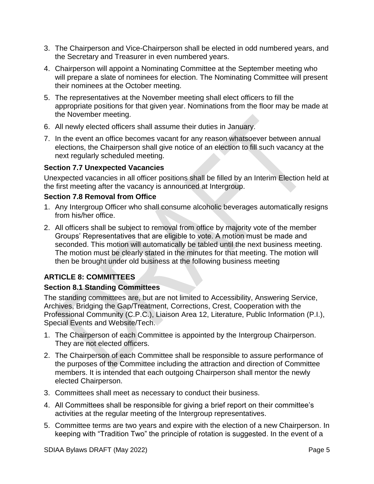- 3. The Chairperson and Vice-Chairperson shall be elected in odd numbered years, and the Secretary and Treasurer in even numbered years.
- 4. Chairperson will appoint a Nominating Committee at the September meeting who will prepare a slate of nominees for election. The Nominating Committee will present their nominees at the October meeting.
- 5. The representatives at the November meeting shall elect officers to fill the appropriate positions for that given year. Nominations from the floor may be made at the November meeting.
- 6. All newly elected officers shall assume their duties in January.
- 7. In the event an office becomes vacant for any reason whatsoever between annual elections, the Chairperson shall give notice of an election to fill such vacancy at the next regularly scheduled meeting.

### **Section 7.7 Unexpected Vacancies**

Unexpected vacancies in all officer positions shall be filled by an Interim Election held at the first meeting after the vacancy is announced at Intergroup.

### **Section 7.8 Removal from Office**

- 1. Any Intergroup Officer who shall consume alcoholic beverages automatically resigns from his/her office.
- 2. All officers shall be subject to removal from office by majority vote of the member Groups' Representatives that are eligible to vote. A motion must be made and seconded. This motion will automatically be tabled until the next business meeting. The motion must be clearly stated in the minutes for that meeting. The motion will then be brought under old business at the following business meeting

# **ARTICLE 8: COMMITTEES**

## **Section 8.1 Standing Committees**

The standing committees are, but are not limited to Accessibility, Answering Service, Archives, Bridging the Gap/Treatment, Corrections, Crest, Cooperation with the Professional Community (C.P.C.), Liaison Area 12, Literature, Public Information (P.I.), Special Events and Website/Tech.

- 1. The Chairperson of each Committee is appointed by the Intergroup Chairperson. They are not elected officers.
- 2. The Chairperson of each Committee shall be responsible to assure performance of the purposes of the Committee including the attraction and direction of Committee members. It is intended that each outgoing Chairperson shall mentor the newly elected Chairperson.
- 3. Committees shall meet as necessary to conduct their business.
- 4. All Committees shall be responsible for giving a brief report on their committee's activities at the regular meeting of the Intergroup representatives.
- 5. Committee terms are two years and expire with the election of a new Chairperson. In keeping with "Tradition Two" the principle of rotation is suggested. In the event of a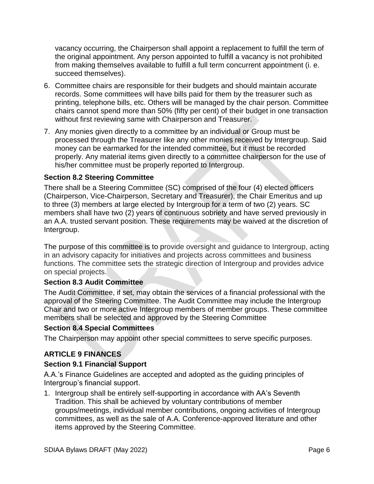vacancy occurring, the Chairperson shall appoint a replacement to fulfill the term of the original appointment. Any person appointed to fulfill a vacancy is not prohibited from making themselves available to fulfill a full term concurrent appointment (i. e. succeed themselves).

- 6. Committee chairs are responsible for their budgets and should maintain accurate records. Some committees will have bills paid for them by the treasurer such as printing, telephone bills, etc. Others will be managed by the chair person. Committee chairs cannot spend more than 50% (fifty per cent) of their budget in one transaction without first reviewing same with Chairperson and Treasurer.
- 7. Any monies given directly to a committee by an individual or Group must be processed through the Treasurer like any other monies received by Intergroup. Said money can be earmarked for the intended committee, but it must be recorded properly. Any material items given directly to a committee chairperson for the use of his/her committee must be properly reported to Intergroup.

### **Section 8.2 Steering Committee**

There shall be a Steering Committee (SC) comprised of the four (4) elected officers (Chairperson, Vice-Chairperson, Secretary and Treasurer), the Chair Emeritus and up to three (3) members at large elected by Intergroup for a term of two (2) years. SC members shall have two (2) years of continuous sobriety and have served previously in an A.A. trusted servant position. These requirements may be waived at the discretion of Intergroup.

The purpose of this committee is to provide oversight and guidance to Intergroup, acting in an advisory capacity for initiatives and projects across committees and business functions. The committee sets the strategic direction of Intergroup and provides advice on special projects.

### **Section 8.3 Audit Committee**

The Audit Committee, if set, may obtain the services of a financial professional with the approval of the Steering Committee. The Audit Committee may include the Intergroup Chair and two or more active Intergroup members of member groups. These committee members shall be selected and approved by the Steering Committee

### **Section 8.4 Special Committees**

The Chairperson may appoint other special committees to serve specific purposes.

## **ARTICLE 9 FINANCES**

### **Section 9.1 Financial Support**

A.A.'s Finance Guidelines are accepted and adopted as the guiding principles of Intergroup's financial support.

1. Intergroup shall be entirely self-supporting in accordance with AA's Seventh Tradition. This shall be achieved by voluntary contributions of member groups/meetings, individual member contributions, ongoing activities of Intergroup committees, as well as the sale of A.A. Conference-approved literature and other items approved by the Steering Committee.